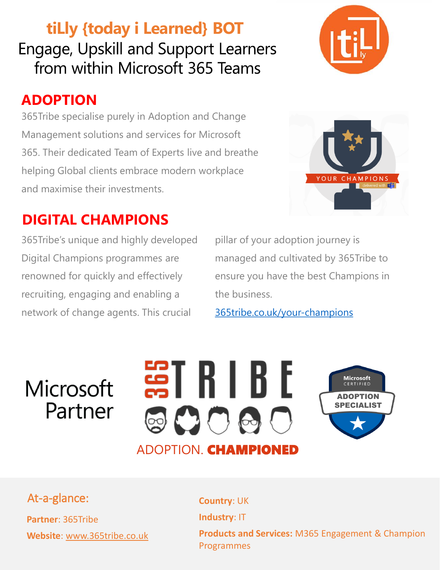**tiLly {today i Learned} BOT** Engage, Upskill and Support Learners from within Microsoft 365 Teams

### **ADOPTION**

365Tribe specialise purely in Adoption and Change Management solutions and services for Microsoft 365. Their dedicated Team of Experts live and breathe helping Global clients embrace modern workplace and maximise their investments.

#### **DIGITAL CHAMPIONS**

365Tribe's unique and highly developed Digital Champions programmes are renowned for quickly and effectively recruiting, engaging and enabling a network of change agents. This crucial

pillar of your adoption journey is managed and cultivated by 365Tribe to ensure you have the best Champions in the business.

[365tribe.co.uk/your-champions](https://www.365tribe.co.uk/your-champions/)

## Microsoft Partner



At-a-glance: **Country: UK** 

**Partner**: 365Tribe **Website**: www.365tribe.co.uk **Industry**: IT **Products and Services:** M365 Engagement & Champion Programmes